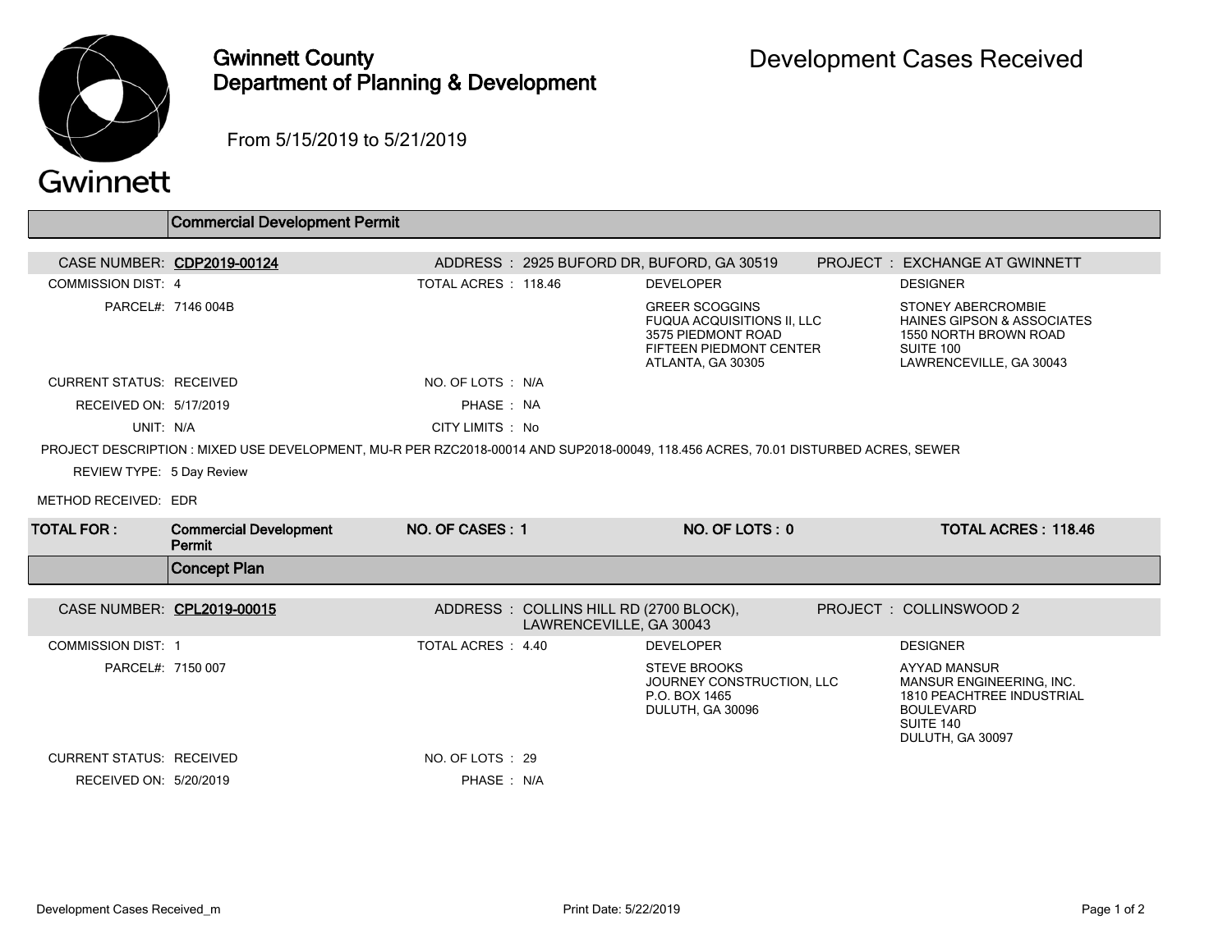

## Gwinnett County Department of Planning & Development

From 5/15/2019 to 5/21/2019

|                                 | <b>Commercial Development Permit</b>    |                                                                   |                                                                                                                                    |                                                                                                                                          |
|---------------------------------|-----------------------------------------|-------------------------------------------------------------------|------------------------------------------------------------------------------------------------------------------------------------|------------------------------------------------------------------------------------------------------------------------------------------|
|                                 | CASE NUMBER: CDP2019-00124              | ADDRESS: 2925 BUFORD DR, BUFORD, GA 30519                         |                                                                                                                                    | <b>PROJECT : EXCHANGE AT GWINNETT</b>                                                                                                    |
| <b>COMMISSION DIST: 4</b>       |                                         | TOTAL ACRES : 118.46                                              | <b>DEVELOPER</b>                                                                                                                   | <b>DESIGNER</b>                                                                                                                          |
|                                 | PARCEL#: 7146 004B                      |                                                                   | <b>GREER SCOGGINS</b><br><b>FUQUA ACQUISITIONS II, LLC</b><br>3575 PIEDMONT ROAD<br>FIFTEEN PIEDMONT CENTER<br>ATLANTA, GA 30305   | <b>STONEY ABERCROMBIE</b><br><b>HAINES GIPSON &amp; ASSOCIATES</b><br>1550 NORTH BROWN ROAD<br>SUITE 100<br>LAWRENCEVILLE, GA 30043      |
| <b>CURRENT STATUS: RECEIVED</b> |                                         | NO. OF LOTS : N/A                                                 |                                                                                                                                    |                                                                                                                                          |
| RECEIVED ON: 5/17/2019          |                                         | PHASE: NA                                                         |                                                                                                                                    |                                                                                                                                          |
| UNIT: N/A                       |                                         | CITY LIMITS : No                                                  |                                                                                                                                    |                                                                                                                                          |
|                                 |                                         |                                                                   | PROJECT DESCRIPTION : MIXED USE DEVELOPMENT, MU-R PER RZC2018-00014 AND SUP2018-00049, 118.456 ACRES, 70.01 DISTURBED ACRES, SEWER |                                                                                                                                          |
| REVIEW TYPE: 5 Day Review       |                                         |                                                                   |                                                                                                                                    |                                                                                                                                          |
| METHOD RECEIVED: EDR            |                                         |                                                                   |                                                                                                                                    |                                                                                                                                          |
| <b>TOTAL FOR:</b>               | <b>Commercial Development</b><br>Permit | NO. OF CASES: 1                                                   | NO. OF LOTS: 0                                                                                                                     | <b>TOTAL ACRES: 118.46</b>                                                                                                               |
|                                 | <b>Concept Plan</b>                     |                                                                   |                                                                                                                                    |                                                                                                                                          |
|                                 |                                         |                                                                   |                                                                                                                                    |                                                                                                                                          |
|                                 | CASE NUMBER: CPL2019-00015              | ADDRESS: COLLINS HILL RD (2700 BLOCK),<br>LAWRENCEVILLE, GA 30043 |                                                                                                                                    | PROJECT : COLLINSWOOD 2                                                                                                                  |
| <b>COMMISSION DIST: 1</b>       |                                         | TOTAL ACRES : 4.40                                                | <b>DEVELOPER</b>                                                                                                                   | <b>DESIGNER</b>                                                                                                                          |
| PARCEL#: 7150 007               |                                         |                                                                   | <b>STEVE BROOKS</b><br>JOURNEY CONSTRUCTION, LLC<br>P.O. BOX 1465<br>DULUTH, GA 30096                                              | <b>AYYAD MANSUR</b><br>MANSUR ENGINEERING, INC.<br><b>1810 PEACHTREE INDUSTRIAL</b><br><b>BOULEVARD</b><br>SUITE 140<br>DULUTH, GA 30097 |
| <b>CURRENT STATUS: RECEIVED</b> |                                         | NO. OF LOTS : 29                                                  |                                                                                                                                    |                                                                                                                                          |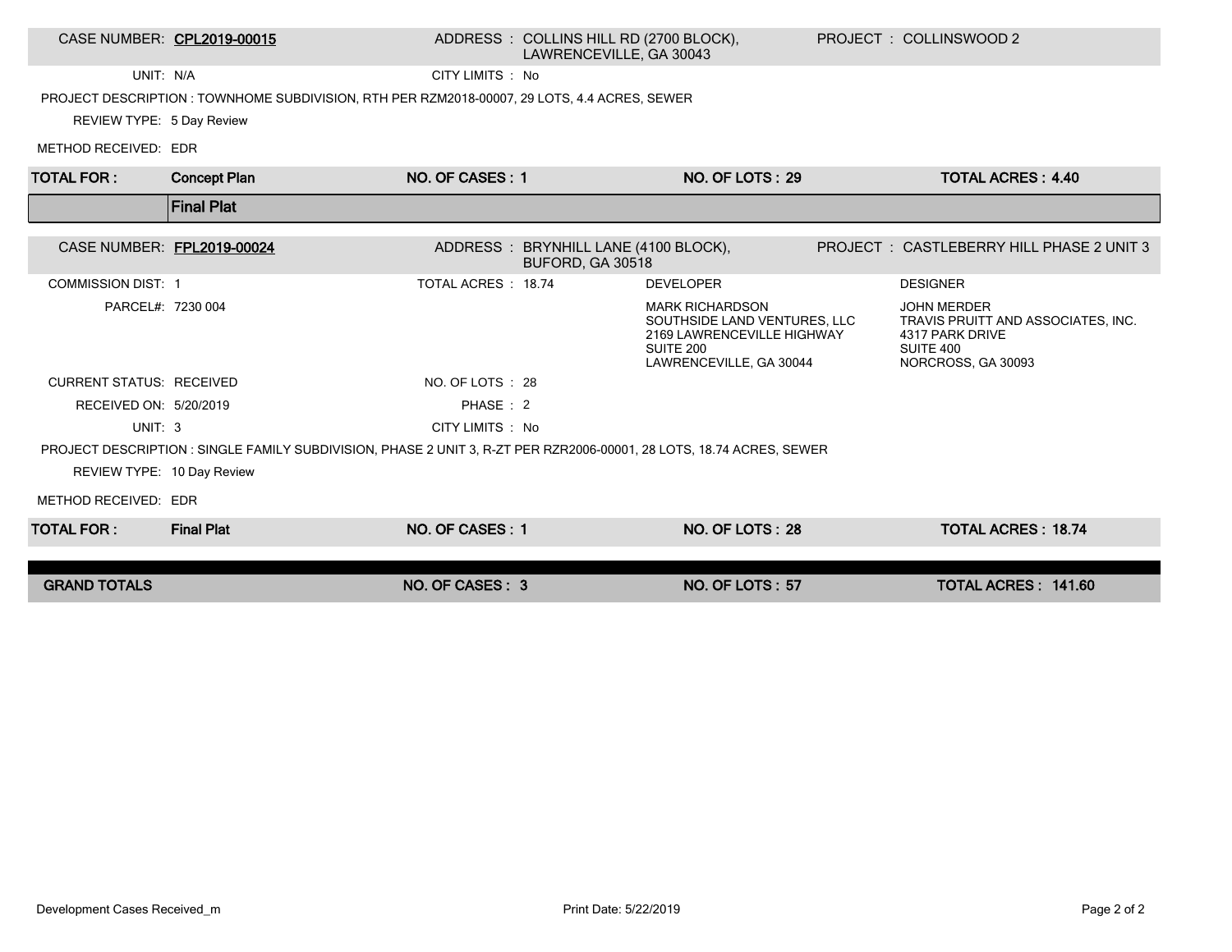| CASE NUMBER: CPL2019-00015      |                                                                                                                     |                     | ADDRESS: COLLINS HILL RD (2700 BLOCK),<br>LAWRENCEVILLE, GA 30043 |                                                                                                                              | PROJECT: COLLINSWOOD 2                                                                                         |
|---------------------------------|---------------------------------------------------------------------------------------------------------------------|---------------------|-------------------------------------------------------------------|------------------------------------------------------------------------------------------------------------------------------|----------------------------------------------------------------------------------------------------------------|
| UNIT: N/A                       |                                                                                                                     | CITY LIMITS : No    |                                                                   |                                                                                                                              |                                                                                                                |
|                                 | PROJECT DESCRIPTION : TOWNHOME SUBDIVISION, RTH PER RZM2018-00007, 29 LOTS, 4.4 ACRES, SEWER                        |                     |                                                                   |                                                                                                                              |                                                                                                                |
| REVIEW TYPE: 5 Day Review       |                                                                                                                     |                     |                                                                   |                                                                                                                              |                                                                                                                |
| METHOD RECEIVED: EDR            |                                                                                                                     |                     |                                                                   |                                                                                                                              |                                                                                                                |
| <b>TOTAL FOR:</b>               | <b>Concept Plan</b>                                                                                                 | NO. OF CASES: 1     |                                                                   | <b>NO. OF LOTS: 29</b>                                                                                                       | <b>TOTAL ACRES: 4.40</b>                                                                                       |
|                                 | <b>Final Plat</b>                                                                                                   |                     |                                                                   |                                                                                                                              |                                                                                                                |
| CASE NUMBER: FPL2019-00024      |                                                                                                                     |                     | ADDRESS: BRYNHILL LANE (4100 BLOCK),<br>BUFORD, GA 30518          |                                                                                                                              | PROJECT: CASTLEBERRY HILL PHASE 2 UNIT 3                                                                       |
| <b>COMMISSION DIST: 1</b>       |                                                                                                                     | TOTAL ACRES : 18.74 |                                                                   | <b>DEVELOPER</b>                                                                                                             | <b>DESIGNER</b>                                                                                                |
| PARCEL#: 7230 004               |                                                                                                                     |                     |                                                                   | <b>MARK RICHARDSON</b><br>SOUTHSIDE LAND VENTURES, LLC<br>2169 LAWRENCEVILLE HIGHWAY<br>SUITE 200<br>LAWRENCEVILLE, GA 30044 | <b>JOHN MERDER</b><br>TRAVIS PRUITT AND ASSOCIATES, INC.<br>4317 PARK DRIVE<br>SUITE 400<br>NORCROSS, GA 30093 |
| <b>CURRENT STATUS: RECEIVED</b> |                                                                                                                     | NO. OF LOTS : 28    |                                                                   |                                                                                                                              |                                                                                                                |
| RECEIVED ON: 5/20/2019          |                                                                                                                     | PHASE: 2            |                                                                   |                                                                                                                              |                                                                                                                |
| UNIT: 3                         |                                                                                                                     | CITY LIMITS : No    |                                                                   |                                                                                                                              |                                                                                                                |
|                                 | PROJECT DESCRIPTION: SINGLE FAMILY SUBDIVISION, PHASE 2 UNIT 3, R-ZT PER RZR2006-00001, 28 LOTS, 18.74 ACRES, SEWER |                     |                                                                   |                                                                                                                              |                                                                                                                |
| REVIEW TYPE: 10 Day Review      |                                                                                                                     |                     |                                                                   |                                                                                                                              |                                                                                                                |
| METHOD RECEIVED: EDR            |                                                                                                                     |                     |                                                                   |                                                                                                                              |                                                                                                                |
| <b>TOTAL FOR:</b>               | <b>Final Plat</b>                                                                                                   | NO. OF CASES: 1     |                                                                   | NO. OF LOTS: 28                                                                                                              | <b>TOTAL ACRES: 18.74</b>                                                                                      |
|                                 |                                                                                                                     |                     |                                                                   |                                                                                                                              |                                                                                                                |
| <b>GRAND TOTALS</b>             |                                                                                                                     | NO. OF CASES: 3     |                                                                   | <b>NO. OF LOTS: 57</b>                                                                                                       | TOTAL ACRES: 141.60                                                                                            |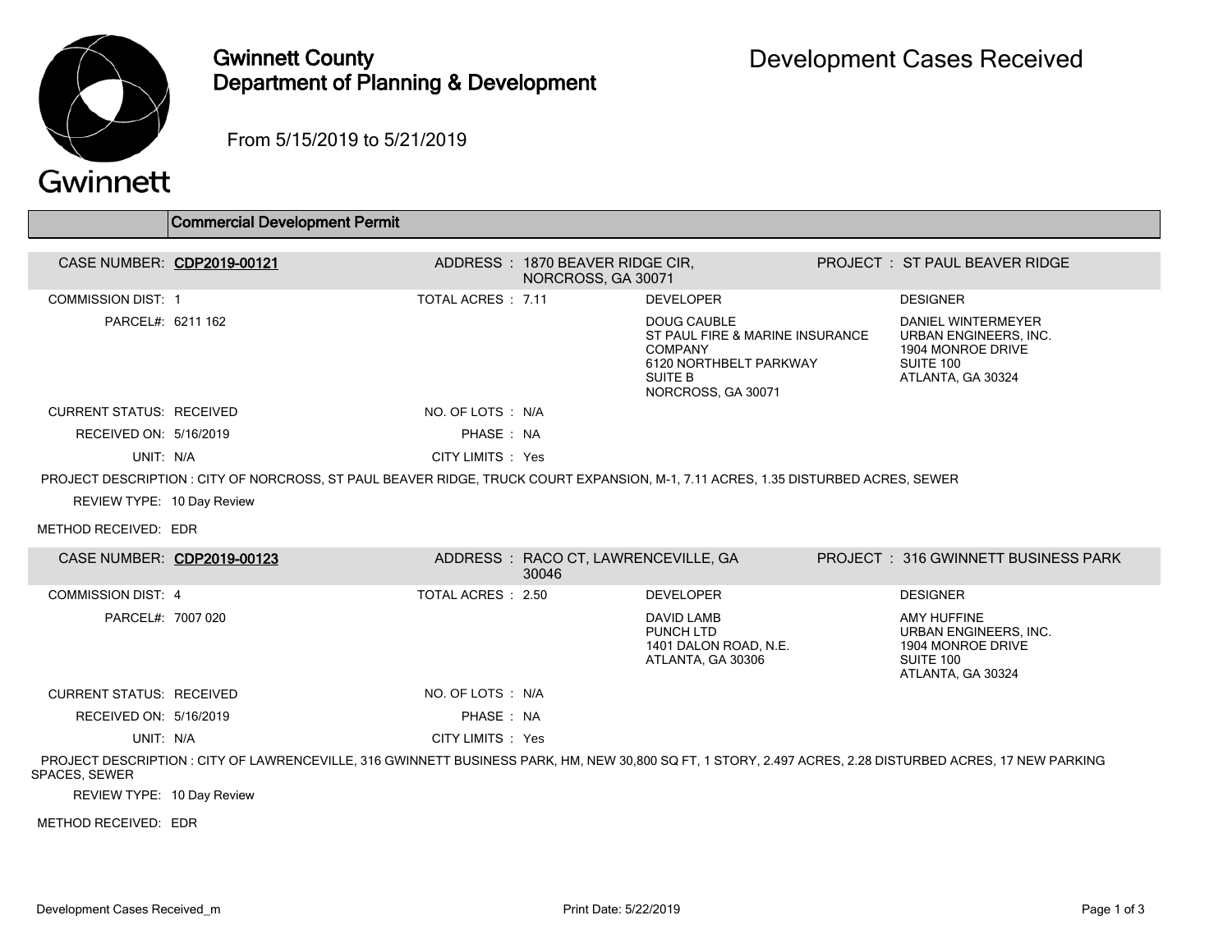

## Gwinnett County Department of Planning & Development

From 5/15/2019 to 5/21/2019

## Gwinnett

|                                 | <b>Commercial Development Permit</b>                                                                                                                      |                    |                                                        |                                                                                                                                    |                                                                                                    |
|---------------------------------|-----------------------------------------------------------------------------------------------------------------------------------------------------------|--------------------|--------------------------------------------------------|------------------------------------------------------------------------------------------------------------------------------------|----------------------------------------------------------------------------------------------------|
| CASE NUMBER: CDP2019-00121      |                                                                                                                                                           |                    | ADDRESS : 1870 BEAVER RIDGE CIR,<br>NORCROSS, GA 30071 |                                                                                                                                    | PROJECT: ST PAUL BEAVER RIDGE                                                                      |
| <b>COMMISSION DIST: 1</b>       |                                                                                                                                                           | TOTAL ACRES : 7.11 |                                                        | <b>DEVELOPER</b>                                                                                                                   | <b>DESIGNER</b>                                                                                    |
| PARCEL#: 6211 162               |                                                                                                                                                           |                    |                                                        | <b>DOUG CAUBLE</b><br>ST PAUL FIRE & MARINE INSURANCE<br><b>COMPANY</b><br>6120 NORTHBELT PARKWAY<br>SUITE B<br>NORCROSS, GA 30071 | DANIEL WINTERMEYER<br>URBAN ENGINEERS. INC.<br>1904 MONROE DRIVE<br>SUITE 100<br>ATLANTA, GA 30324 |
| <b>CURRENT STATUS: RECEIVED</b> |                                                                                                                                                           | NO. OF LOTS: N/A   |                                                        |                                                                                                                                    |                                                                                                    |
| RECEIVED ON: 5/16/2019          |                                                                                                                                                           | PHASE: NA          |                                                        |                                                                                                                                    |                                                                                                    |
| UNIT: N/A                       |                                                                                                                                                           | CITY LIMITS : Yes  |                                                        |                                                                                                                                    |                                                                                                    |
|                                 | PROJECT DESCRIPTION : CITY OF NORCROSS, ST PAUL BEAVER RIDGE, TRUCK COURT EXPANSION, M-1, 7.11 ACRES, 1.35 DISTURBED ACRES, SEWER                         |                    |                                                        |                                                                                                                                    |                                                                                                    |
| REVIEW TYPE: 10 Day Review      |                                                                                                                                                           |                    |                                                        |                                                                                                                                    |                                                                                                    |
| METHOD RECEIVED: EDR            |                                                                                                                                                           |                    |                                                        |                                                                                                                                    |                                                                                                    |
| CASE NUMBER: CDP2019-00123      |                                                                                                                                                           |                    | ADDRESS : RACO CT, LAWRENCEVILLE, GA<br>30046          |                                                                                                                                    | <b>PROJECT : 316 GWINNETT BUSINESS PARK</b>                                                        |
| <b>COMMISSION DIST: 4</b>       |                                                                                                                                                           | TOTAL ACRES : 2.50 |                                                        | <b>DEVELOPER</b>                                                                                                                   | <b>DESIGNER</b>                                                                                    |
| PARCEL#: 7007 020               |                                                                                                                                                           |                    |                                                        | <b>DAVID LAMB</b><br>PUNCH LTD<br>1401 DALON ROAD, N.E.<br>ATLANTA, GA 30306                                                       | <b>AMY HUFFINE</b><br>URBAN ENGINEERS, INC.<br>1904 MONROE DRIVE<br>SUITE 100<br>ATLANTA, GA 30324 |
| <b>CURRENT STATUS: RECEIVED</b> |                                                                                                                                                           | NO. OF LOTS: N/A   |                                                        |                                                                                                                                    |                                                                                                    |
| RECEIVED ON: 5/16/2019          |                                                                                                                                                           | PHASE: NA          |                                                        |                                                                                                                                    |                                                                                                    |
| UNIT: N/A                       |                                                                                                                                                           | CITY LIMITS : Yes  |                                                        |                                                                                                                                    |                                                                                                    |
| SPACES, SEWER                   | PROJECT DESCRIPTION : CITY OF LAWRENCEVILLE, 316 GWINNETT BUSINESS PARK, HM, NEW 30.800 SQ FT, 1 STORY, 2.497 ACRES, 2.28 DISTURBED ACRES, 17 NEW PARKING |                    |                                                        |                                                                                                                                    |                                                                                                    |

REVIEW TYPE: 10 Day Review

METHOD RECEIVED: EDR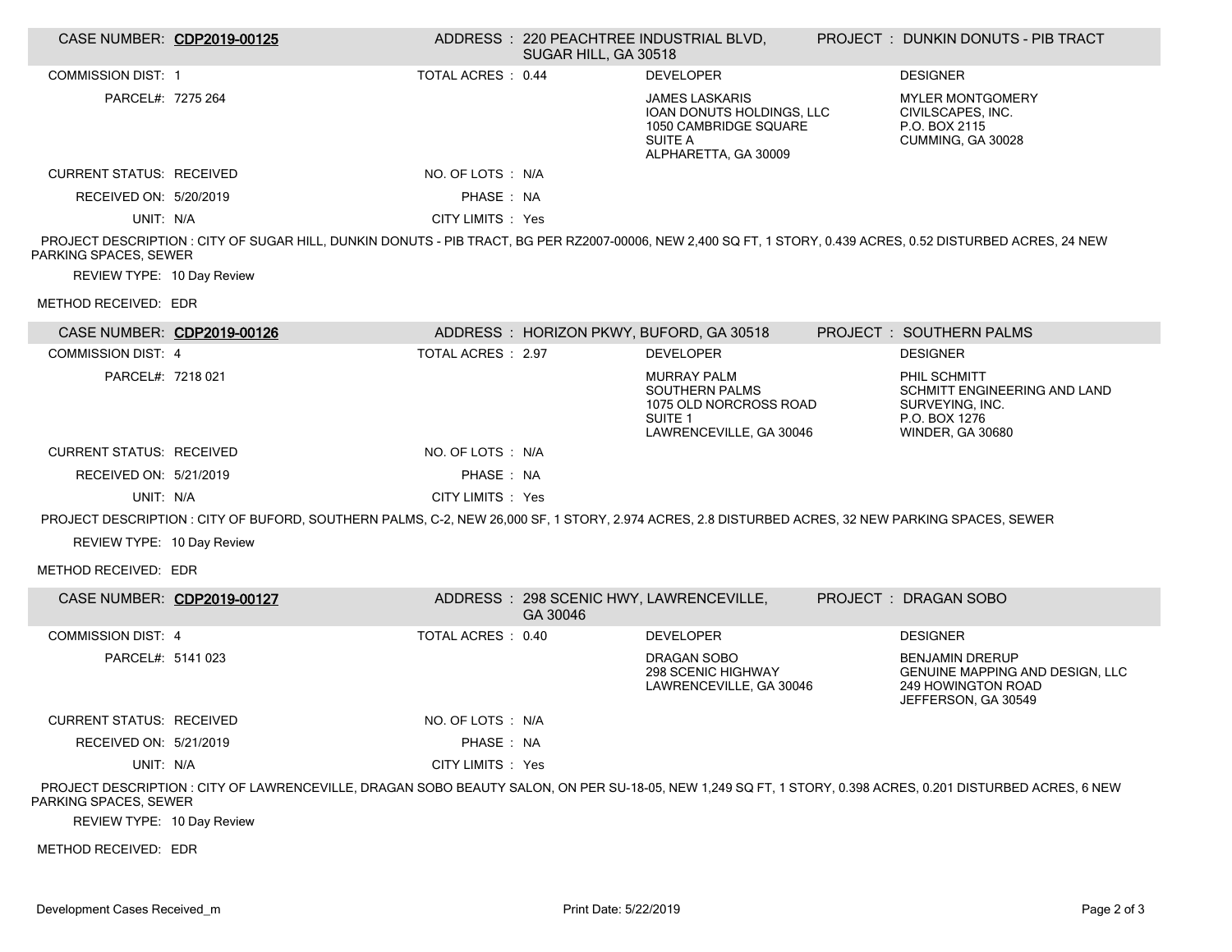| CASE NUMBER: CDP2019-00125      |                                                                                                                                                               |                    | SUGAR HILL, GA 30518 | ADDRESS: 220 PEACHTREE INDUSTRIAL BLVD,                                                                                | PROJECT : DUNKIN DONUTS - PIB TRACT                                                                           |
|---------------------------------|---------------------------------------------------------------------------------------------------------------------------------------------------------------|--------------------|----------------------|------------------------------------------------------------------------------------------------------------------------|---------------------------------------------------------------------------------------------------------------|
| <b>COMMISSION DIST: 1</b>       |                                                                                                                                                               | TOTAL ACRES : 0.44 |                      | <b>DEVELOPER</b>                                                                                                       | <b>DESIGNER</b>                                                                                               |
| PARCEL#: 7275 264               |                                                                                                                                                               |                    |                      | <b>JAMES LASKARIS</b><br>IOAN DONUTS HOLDINGS, LLC<br>1050 CAMBRIDGE SQUARE<br><b>SUITE A</b><br>ALPHARETTA, GA 30009  | <b>MYLER MONTGOMERY</b><br>CIVILSCAPES, INC.<br>P.O. BOX 2115<br>CUMMING, GA 30028                            |
| <b>CURRENT STATUS: RECEIVED</b> |                                                                                                                                                               | NO. OF LOTS : N/A  |                      |                                                                                                                        |                                                                                                               |
| RECEIVED ON: 5/20/2019          |                                                                                                                                                               | PHASE: NA          |                      |                                                                                                                        |                                                                                                               |
| UNIT: N/A                       |                                                                                                                                                               | CITY LIMITS : Yes  |                      |                                                                                                                        |                                                                                                               |
| PARKING SPACES, SEWER           | PROJECT DESCRIPTION : CITY OF SUGAR HILL, DUNKIN DONUTS - PIB TRACT, BG PER RZ2007-00006, NEW 2,400 SQ FT, 1 STORY, 0.439 ACRES, 0.52 DISTURBED ACRES, 24 NEW |                    |                      |                                                                                                                        |                                                                                                               |
| REVIEW TYPE: 10 Day Review      |                                                                                                                                                               |                    |                      |                                                                                                                        |                                                                                                               |
| METHOD RECEIVED: EDR            |                                                                                                                                                               |                    |                      |                                                                                                                        |                                                                                                               |
| CASE NUMBER: CDP2019-00126      |                                                                                                                                                               |                    |                      | ADDRESS: HORIZON PKWY, BUFORD, GA 30518                                                                                | PROJECT: SOUTHERN PALMS                                                                                       |
| <b>COMMISSION DIST: 4</b>       |                                                                                                                                                               | TOTAL ACRES : 2.97 |                      | <b>DEVELOPER</b>                                                                                                       | <b>DESIGNER</b>                                                                                               |
| PARCEL#: 7218 021               |                                                                                                                                                               |                    |                      | <b>MURRAY PALM</b><br><b>SOUTHERN PALMS</b><br>1075 OLD NORCROSS ROAD<br>SUITE <sub>1</sub><br>LAWRENCEVILLE, GA 30046 | PHIL SCHMITT<br>SCHMITT ENGINEERING AND LAND<br>SURVEYING, INC.<br>P.O. BOX 1276<br><b>WINDER, GA 30680</b>   |
| <b>CURRENT STATUS: RECEIVED</b> |                                                                                                                                                               | NO. OF LOTS : N/A  |                      |                                                                                                                        |                                                                                                               |
| RECEIVED ON: 5/21/2019          |                                                                                                                                                               | PHASE: NA          |                      |                                                                                                                        |                                                                                                               |
| UNIT: N/A                       |                                                                                                                                                               | CITY LIMITS : Yes  |                      |                                                                                                                        |                                                                                                               |
|                                 | PROJECT DESCRIPTION : CITY OF BUFORD, SOUTHERN PALMS, C-2, NEW 26,000 SF, 1 STORY, 2.974 ACRES, 2.8 DISTURBED ACRES, 32 NEW PARKING SPACES, SEWER             |                    |                      |                                                                                                                        |                                                                                                               |
| REVIEW TYPE: 10 Day Review      |                                                                                                                                                               |                    |                      |                                                                                                                        |                                                                                                               |
| METHOD RECEIVED: EDR            |                                                                                                                                                               |                    |                      |                                                                                                                        |                                                                                                               |
| CASE NUMBER: CDP2019-00127      |                                                                                                                                                               |                    | GA 30046             | ADDRESS: 298 SCENIC HWY, LAWRENCEVILLE,                                                                                | PROJECT: DRAGAN SOBO                                                                                          |
| <b>COMMISSION DIST: 4</b>       |                                                                                                                                                               | TOTAL ACRES : 0.40 |                      | <b>DEVELOPER</b>                                                                                                       | <b>DESIGNER</b>                                                                                               |
| PARCEL#: 5141 023               |                                                                                                                                                               |                    |                      | DRAGAN SOBO<br>298 SCENIC HIGHWAY<br>LAWRENCEVILLE, GA 30046                                                           | <b>BENJAMIN DRERUP</b><br>GENUINE MAPPING AND DESIGN, LLC<br><b>249 HOWINGTON ROAD</b><br>JEFFERSON, GA 30549 |
| <b>CURRENT STATUS: RECEIVED</b> |                                                                                                                                                               | NO. OF LOTS : N/A  |                      |                                                                                                                        |                                                                                                               |
| RECEIVED ON: 5/21/2019          |                                                                                                                                                               | PHASE: NA          |                      |                                                                                                                        |                                                                                                               |
| UNIT: N/A                       |                                                                                                                                                               | CITY LIMITS : Yes  |                      |                                                                                                                        |                                                                                                               |
| PARKING SPACES, SEWER           | PROJECT DESCRIPTION : CITY OF LAWRENCEVILLE, DRAGAN SOBO BEAUTY SALON, ON PER SU-18-05, NEW 1,249 SQ FT, 1 STORY, 0.398 ACRES, 0.201 DISTURBED ACRES, 6 NEW   |                    |                      |                                                                                                                        |                                                                                                               |
| REVIEW TYPE: 10 Day Review      |                                                                                                                                                               |                    |                      |                                                                                                                        |                                                                                                               |
| METHOD RECEIVED: EDR            |                                                                                                                                                               |                    |                      |                                                                                                                        |                                                                                                               |